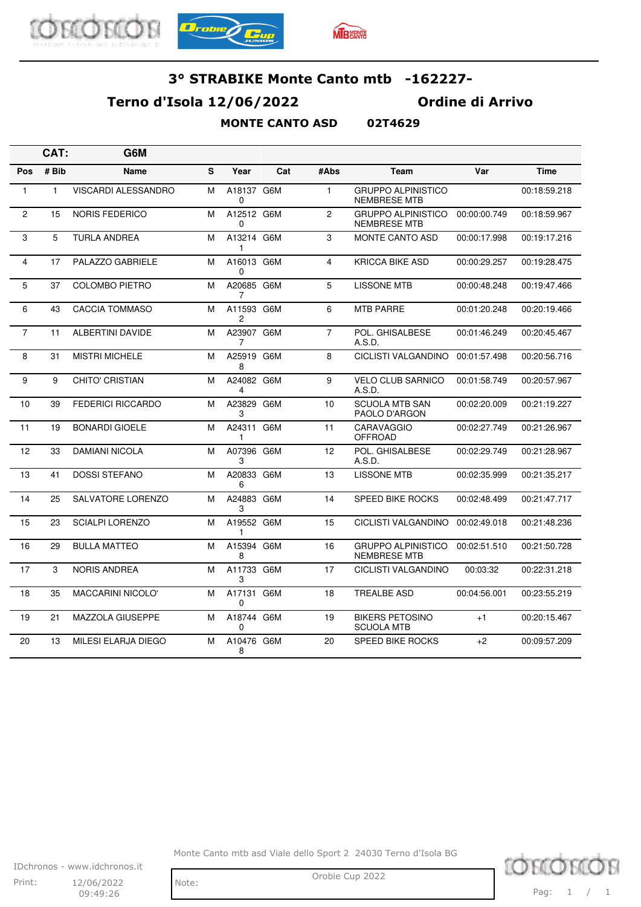





### **Terno d'Isola 12/06/2022 Ordine di Arrivo**

### **MONTE CANTO ASD 02T4629**

|                | CAT:         | G6M                      |   |                        |     |                |                                                  |              |              |
|----------------|--------------|--------------------------|---|------------------------|-----|----------------|--------------------------------------------------|--------------|--------------|
| Pos            | # Bib        | Name                     | S | Year                   | Cat | #Abs           | <b>Team</b>                                      | Var          | <b>Time</b>  |
| 1              | $\mathbf{1}$ | VISCARDI ALESSANDRO      | м | A18137 G6M<br>0        |     | $\mathbf{1}$   | <b>GRUPPO ALPINISTICO</b><br><b>NEMBRESE MTB</b> |              | 00:18:59.218 |
| $\overline{2}$ | 15           | <b>NORIS FEDERICO</b>    | м | A12512 G6M<br>$\Omega$ |     | 2              | <b>GRUPPO ALPINISTICO</b><br><b>NEMBRESE MTB</b> | 00:00:00.749 | 00:18:59.967 |
| 3              | 5            | <b>TURLA ANDREA</b>      | м | A13214 G6M<br>1        |     | 3              | <b>MONTE CANTO ASD</b>                           | 00:00:17.998 | 00:19:17.216 |
| $\overline{4}$ | 17           | PALAZZO GABRIELE         | м | A16013 G6M<br>0        |     | 4              | <b>KRICCA BIKE ASD</b>                           | 00:00:29.257 | 00:19:28.475 |
| 5              | 37           | <b>COLOMBO PIETRO</b>    | м | A20685 G6M<br>7        |     | 5              | <b>LISSONE MTB</b>                               | 00:00:48.248 | 00:19:47.466 |
| 6              | 43           | <b>CACCIA TOMMASO</b>    | M | A11593 G6M<br>2        |     | 6              | <b>MTB PARRE</b>                                 | 00:01:20.248 | 00:20:19.466 |
| $\overline{7}$ | 11           | <b>ALBERTINI DAVIDE</b>  | M | A23907 G6M<br>7        |     | $\overline{7}$ | POL. GHISALBESE<br>A.S.D.                        | 00:01:46.249 | 00:20:45.467 |
| 8              | 31           | <b>MISTRI MICHELE</b>    | м | A25919 G6M<br>8        |     | 8              | CICLISTI VALGANDINO                              | 00:01:57.498 | 00:20:56.716 |
| 9              | 9            | <b>CHITO' CRISTIAN</b>   | M | A24082 G6M<br>4        |     | 9              | <b>VELO CLUB SARNICO</b><br>A.S.D.               | 00:01:58.749 | 00:20:57.967 |
| 10             | 39           | <b>FEDERICI RICCARDO</b> | M | A23829 G6M<br>3        |     | 10             | <b>SCUOLA MTB SAN</b><br>PAOLO D'ARGON           | 00:02:20.009 | 00:21:19.227 |
| 11             | 19           | <b>BONARDI GIOELE</b>    | M | A24311 G6M<br>1        |     | 11             | <b>CARAVAGGIO</b><br><b>OFFROAD</b>              | 00:02:27.749 | 00:21:26.967 |
| 12             | 33           | <b>DAMIANI NICOLA</b>    | M | A07396 G6M<br>3        |     | 12             | POL. GHISALBESE<br>A.S.D.                        | 00:02:29.749 | 00:21:28.967 |
| 13             | 41           | <b>DOSSI STEFANO</b>     | м | A20833 G6M<br>6        |     | 13             | <b>LISSONE MTB</b>                               | 00:02:35.999 | 00:21:35.217 |
| 14             | 25           | SALVATORE LORENZO        | м | A24883 G6M<br>3        |     | 14             | <b>SPEED BIKE ROCKS</b>                          | 00:02:48.499 | 00:21:47.717 |
| 15             | 23           | <b>SCIALPI LORENZO</b>   | м | A19552 G6M<br>1        |     | 15             | CICLISTI VALGANDINO                              | 00:02:49.018 | 00:21:48.236 |
| 16             | 29           | <b>BULLA MATTEO</b>      | M | A15394 G6M<br>8        |     | 16             | <b>GRUPPO ALPINISTICO</b><br><b>NEMBRESE MTB</b> | 00:02:51.510 | 00:21:50.728 |
| 17             | 3            | <b>NORIS ANDREA</b>      | M | A11733 G6M<br>3        |     | 17             | <b>CICLISTI VALGANDINO</b>                       | 00:03:32     | 00:22:31.218 |
| 18             | 35           | <b>MACCARINI NICOLO'</b> | м | A17131 G6M<br>0        |     | 18             | <b>TREALBE ASD</b>                               | 00:04:56.001 | 00:23:55.219 |
| 19             | 21           | MAZZOLA GIUSEPPE         | M | A18744 G6M<br>$\Omega$ |     | 19             | <b>BIKERS PETOSINO</b><br><b>SCUOLA MTB</b>      | $+1$         | 00:20:15.467 |
| 20             | 13           | MILESI ELARJA DIEGO      | М | A10476 G6M<br>8        |     | 20             | <b>SPEED BIKE ROCKS</b>                          | $+2$         | 00:09:57.209 |

Monte Canto mtb asd Viale dello Sport 2 24030 Terno d'Isola BG



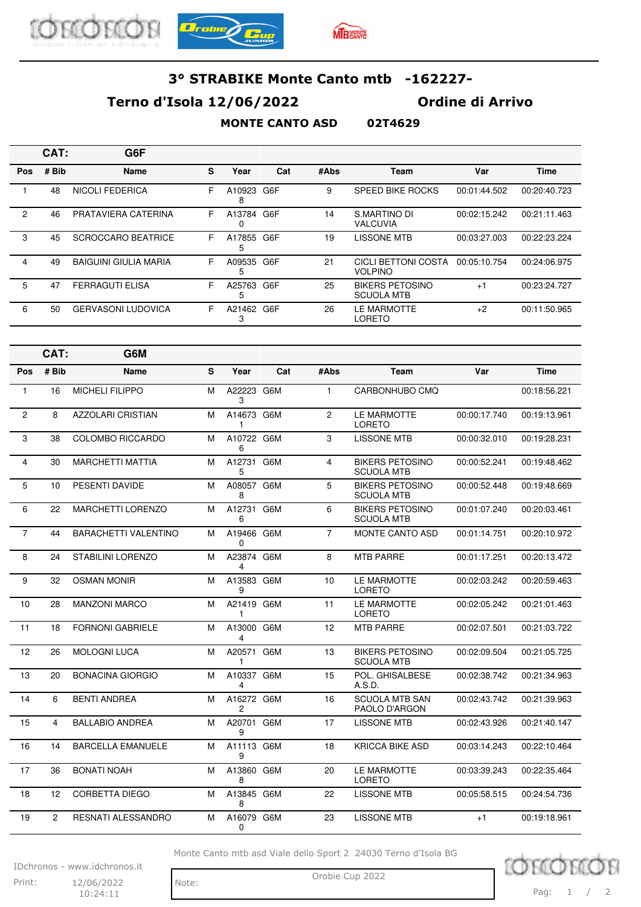





## **Terno d'Isola 12/06/2022 Ordine di Arrivo**

#### **MONTE CANTO ASD 02T4629**

|                | CAT:           | G6F                          |   |                 |     |                |                                             |              |              |
|----------------|----------------|------------------------------|---|-----------------|-----|----------------|---------------------------------------------|--------------|--------------|
| Pos            | # Bib          | Name                         | S | Year            | Cat | #Abs           | Team                                        | Var          | <b>Time</b>  |
| $\mathbf{1}$   | 48             | <b>NICOLI FEDERICA</b>       | F | A10923 G6F<br>8 |     | 9              | SPEED BIKE ROCKS                            | 00:01:44.502 | 00:20:40.723 |
| 2              | 46             | PRATAVIERA CATERINA          | F | A13784 G6F<br>0 |     | 14             | S.MARTINO DI<br><b>VALCUVIA</b>             | 00:02:15.242 | 00:21:11.463 |
| 3              | 45             | <b>SCROCCARO BEATRICE</b>    | F | A17855 G6F<br>5 |     | 19             | <b>LISSONE MTB</b>                          | 00:03:27.003 | 00:22:23.224 |
| $\overline{4}$ | 49             | <b>BAIGUINI GIULIA MARIA</b> | F | A09535 G6F<br>5 |     | 21             | CICLI BETTONI COSTA<br><b>VOLPINO</b>       | 00:05:10.754 | 00:24:06.975 |
| 5              | 47             | <b>FERRAGUTI ELISA</b>       | F | A25763 G6F<br>5 |     | 25             | <b>BIKERS PETOSINO</b><br><b>SCUOLA MTB</b> | $+1$         | 00:23:24.727 |
| 6              | 50             | <b>GERVASONI LUDOVICA</b>    | F | A21462 G6F<br>3 |     | 26             | LE MARMOTTE<br>LORETO                       | $+2$         | 00:11:50.965 |
|                | CAT:           | G6M                          |   |                 |     |                |                                             |              |              |
| Pos            | # Bib          | Name                         | S | Year            | Cat | #Abs           | Team                                        | Var          | <b>Time</b>  |
| $\mathbf{1}$   | 16             | <b>MICHELI FILIPPO</b>       | M | A22223 G6M<br>3 |     | $\mathbf{1}$   | CARBONHUBO CMQ                              |              | 00:18:56.221 |
| $\mathbf{2}$   | 8              | <b>AZZOLARI CRISTIAN</b>     | M | A14673 G6M<br>1 |     | $\overline{2}$ | LE MARMOTTE<br><b>LORETO</b>                | 00:00:17.740 | 00:19:13.961 |
| 3              | 38             | COLOMBO RICCARDO             | M | A10722 G6M<br>6 |     | 3              | <b>LISSONE MTB</b>                          | 00:00:32.010 | 00:19:28.231 |
| $\overline{4}$ | 30             | <b>MARCHETTI MATTIA</b>      | M | A12731 G6M<br>5 |     | $\overline{4}$ | <b>BIKERS PETOSINO</b><br><b>SCUOLA MTB</b> | 00:00:52.241 | 00:19:48.462 |
| 5              | 10             | PESENTI DAVIDE               | M | A08057 G6M<br>8 |     | 5              | <b>BIKERS PETOSINO</b><br><b>SCUOLA MTB</b> | 00:00:52.448 | 00:19:48.669 |
| 6              | 22             | MARCHETTI LORENZO            | м | A12731 G6M<br>6 |     | 6              | <b>BIKERS PETOSINO</b><br><b>SCUOLA MTB</b> | 00:01:07.240 | 00:20:03.461 |
| $\overline{7}$ | 44             | <b>BARACHETTI VALENTINO</b>  | M | A19466 G6M<br>0 |     | $\overline{7}$ | <b>MONTE CANTO ASD</b>                      | 00:01:14.751 | 00:20:10.972 |
| 8              | 24             | <b>STABILINI LORENZO</b>     | M | A23874 G6M<br>4 |     | 8              | <b>MTB PARRE</b>                            | 00:01:17.251 | 00:20:13.472 |
| 9              | 32             | <b>OSMAN MONIR</b>           | M | A13583 G6M<br>9 |     | 10             | LE MARMOTTE<br><b>LORETO</b>                | 00:02:03.242 | 00:20:59.463 |
| 10             | 28             | <b>MANZONI MARCO</b>         | м | A21419 G6M<br>1 |     | 11             | LE MARMOTTE<br><b>LORETO</b>                | 00:02:05.242 | 00:21:01.463 |
| 11             | 18             | FORNONI GABRIELE             | M | A13000 G6M<br>4 |     | 12             | MTB PARRE                                   | 00:02:07.501 | 00:21:03.722 |
| 12             | 26             | MOLOGNI LUCA                 | М | A20571 G6M<br>1 |     | 13             | <b>BIKERS PETOSINO</b><br><b>SCUOLA MTB</b> | 00:02:09.504 | 00:21:05.725 |
| 13             | 20             | <b>BONACINA GIORGIO</b>      | M | A10337 G6M<br>4 |     | 15             | POL. GHISALBESE<br>A.S.D.                   | 00:02:38.742 | 00:21:34.963 |
| 14             | 6              | <b>BENTI ANDREA</b>          | M | A16272 G6M<br>2 |     | 16             | <b>SCUOLA MTB SAN</b><br>PAOLO D'ARGON      | 00:02:43.742 | 00:21:39.963 |
| 15             | 4              | <b>BALLABIO ANDREA</b>       | м | A20701 G6M<br>9 |     | 17             | <b>LISSONE MTB</b>                          | 00:02:43.926 | 00:21:40.147 |
| 16             | 14             | <b>BARCELLA EMANUELE</b>     | м | A11113 G6M<br>9 |     | 18             | <b>KRICCA BIKE ASD</b>                      | 00:03:14.243 | 00:22:10.464 |
| 17             | 36             | <b>BONATI NOAH</b>           | м | A13860 G6M<br>8 |     | 20             | LE MARMOTTE<br>LORETO                       | 00:03:39.243 | 00:22:35.464 |
| 18             | 12             | <b>CORBETTA DIEGO</b>        | м | A13845 G6M<br>8 |     | 22             | <b>LISSONE MTB</b>                          | 00:05:58.515 | 00:24:54.736 |
| 19             | $\overline{2}$ | RESNATI ALESSANDRO           | M | A16079 G6M<br>0 |     | 23             | <b>LISSONE MTB</b>                          | $+1$         | 00:19:18.961 |

Monte Canto mtb asd Viale dello Sport 2 24030 Terno d'Isola BG

IDchronos - www.idchronos.it Print: 12/06/2022 Note: Orobie Cup 2022 12/06/2022

10:24:11

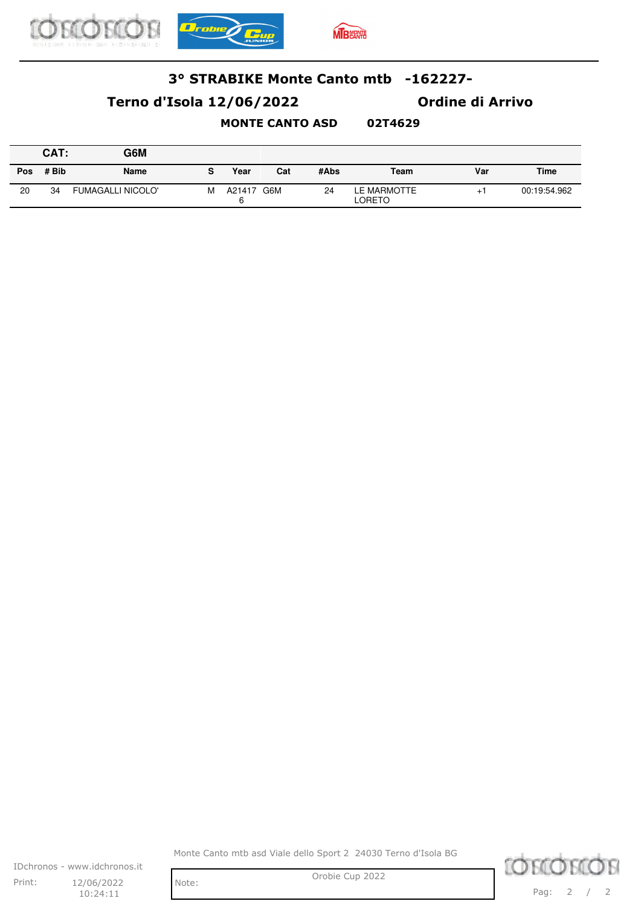

## **Terno d'Isola 12/06/2022 Ordine di Arrivo**

#### **MONTE CANTO ASD 02T4629**

|     | CAT:  | G6M                      |   |             |     |      |                       |     |              |
|-----|-------|--------------------------|---|-------------|-----|------|-----------------------|-----|--------------|
| Pos | # Bib | <b>Name</b>              | s | Year        | Cat | #Abs | Team                  | Var | <b>Time</b>  |
| 20  | 34    | <b>FUMAGALLI NICOLO'</b> | M | A21417<br>6 | G6M | 24   | LE MARMOTTE<br>LORETO | $+$ | 00:19:54.962 |

Monte Canto mtb asd Viale dello Sport 2 24030 Terno d'Isola BG

IDchronos - www.idchronos.it Print: 12/06/2022 Note: Orobie Cup 2022 12/06/2022 10:24:11

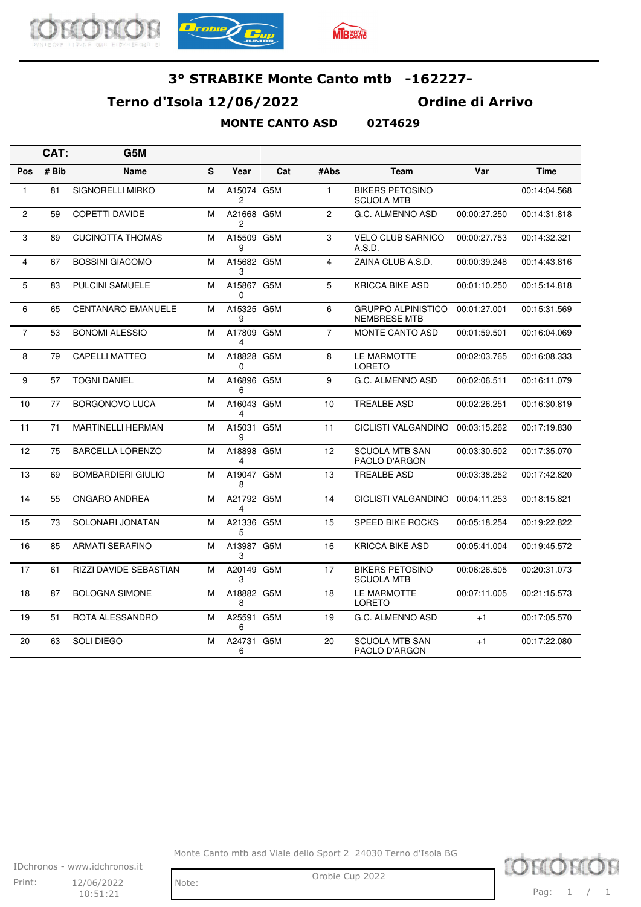





### **Terno d'Isola 12/06/2022 Ordine di Arrivo**

### **MONTE CANTO ASD 02T4629**

|                | CAT:  | G5M                       |   |                              |     |                |                                                  |              |              |
|----------------|-------|---------------------------|---|------------------------------|-----|----------------|--------------------------------------------------|--------------|--------------|
| Pos            | # Bib | Name                      | S | Year                         | Cat | #Abs           | <b>Team</b>                                      | Var          | <b>Time</b>  |
| 1              | 81    | <b>SIGNORELLI MIRKO</b>   | М | A15074 G5M<br>2              |     | $\mathbf{1}$   | <b>BIKERS PETOSINO</b><br><b>SCUOLA MTB</b>      |              | 00:14:04.568 |
| $\overline{c}$ | 59    | <b>COPETTI DAVIDE</b>     | М | A21668 G5M<br>2              |     | $\overline{2}$ | G.C. ALMENNO ASD                                 | 00:00:27.250 | 00:14:31.818 |
| 3              | 89    | <b>CUCINOTTA THOMAS</b>   | м | A15509 G5M<br>9              |     | 3              | <b>VELO CLUB SARNICO</b><br>A.S.D.               | 00:00:27.753 | 00:14:32.321 |
| 4              | 67    | <b>BOSSINI GIACOMO</b>    | М | A15682 G5M<br>3              |     | 4              | ZAINA CLUB A.S.D.                                | 00:00:39.248 | 00:14:43.816 |
| 5              | 83    | <b>PULCINI SAMUELE</b>    | М | A15867 G5M<br>0              |     | 5              | <b>KRICCA BIKE ASD</b>                           | 00:01:10.250 | 00:15:14.818 |
| 6              | 65    | <b>CENTANARO EMANUELE</b> | М | A15325 G5M<br>9              |     | 6              | <b>GRUPPO ALPINISTICO</b><br><b>NEMBRESE MTB</b> | 00:01:27.001 | 00:15:31.569 |
| $\overline{7}$ | 53    | <b>BONOMI ALESSIO</b>     | М | A17809 G5M<br>4              |     | $\overline{7}$ | <b>MONTE CANTO ASD</b>                           | 00:01:59.501 | 00:16:04.069 |
| 8              | 79    | <b>CAPELLI MATTEO</b>     | M | A18828 G5M<br>0              |     | 8              | LE MARMOTTE<br><b>LORETO</b>                     | 00:02:03.765 | 00:16:08.333 |
| 9              | 57    | <b>TOGNI DANIEL</b>       | М | A16896 G5M<br>6              |     | 9              | G.C. ALMENNO ASD                                 | 00:02:06.511 | 00:16:11.079 |
| 10             | 77    | <b>BORGONOVO LUCA</b>     | М | A16043 G5M<br>4              |     | 10             | <b>TREALBE ASD</b>                               | 00:02:26.251 | 00:16:30.819 |
| 11             | 71    | <b>MARTINELLI HERMAN</b>  | М | A15031 G5M<br>9              |     | 11             | <b>CICLISTI VALGANDINO</b>                       | 00:03:15.262 | 00:17:19.830 |
| 12             | 75    | <b>BARCELLA LORENZO</b>   | М | A18898 G5M<br>$\overline{4}$ |     | 12             | <b>SCUOLA MTB SAN</b><br>PAOLO D'ARGON           | 00:03:30.502 | 00:17:35.070 |
| 13             | 69    | <b>BOMBARDIERI GIULIO</b> | М | A19047 G5M<br>8              |     | 13             | <b>TREALBE ASD</b>                               | 00:03:38.252 | 00:17:42.820 |
| 14             | 55    | ONGARO ANDREA             | м | A21792 G5M<br>4              |     | 14             | CICLISTI VALGANDINO                              | 00:04:11.253 | 00:18:15.821 |
| 15             | 73    | SOLONARI JONATAN          | М | A21336 G5M<br>5              |     | 15             | <b>SPEED BIKE ROCKS</b>                          | 00:05:18.254 | 00:19:22.822 |
| 16             | 85    | <b>ARMATI SERAFINO</b>    | М | A13987 G5M<br>3              |     | 16             | <b>KRICCA BIKE ASD</b>                           | 00:05:41.004 | 00:19:45.572 |
| 17             | 61    | RIZZI DAVIDE SEBASTIAN    | М | A20149 G5M<br>3              |     | 17             | <b>BIKERS PETOSINO</b><br><b>SCUOLA MTB</b>      | 00:06:26.505 | 00:20:31.073 |
| 18             | 87    | <b>BOLOGNA SIMONE</b>     | М | A18882 G5M<br>8              |     | 18             | LE MARMOTTE<br><b>LORETO</b>                     | 00:07:11.005 | 00:21:15.573 |
| 19             | 51    | ROTA ALESSANDRO           | M | A25591<br>6                  | G5M | 19             | G.C. ALMENNO ASD                                 | $+1$         | 00:17:05.570 |
| 20             | 63    | <b>SOLI DIEGO</b>         | М | A24731 G5M<br>6              |     | 20             | <b>SCUOLA MTB SAN</b><br>PAOLO D'ARGON           | $+1$         | 00:17:22.080 |

Monte Canto mtb asd Viale dello Sport 2 24030 Terno d'Isola BG



Note:

 $10:51:21$ 

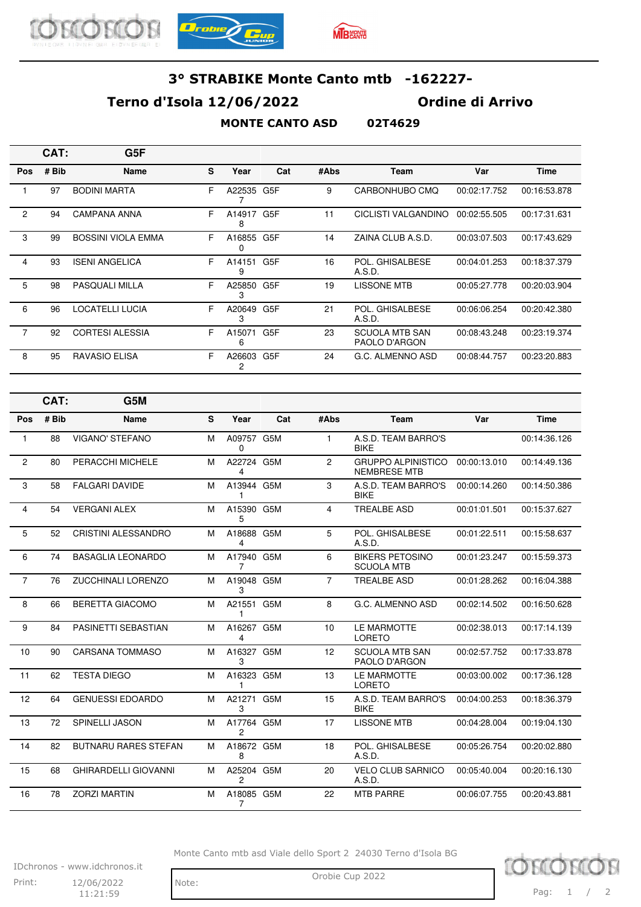



## **Terno d'Isola 12/06/2022 Ordine di Arrivo**

#### **MONTE CANTO ASD 02T4629**

|                | CAT:  | G5F                       |    |                 |                  |      |                                        |              |              |
|----------------|-------|---------------------------|----|-----------------|------------------|------|----------------------------------------|--------------|--------------|
| Pos            | # Bib | <b>Name</b>               | S  | Year            | Cat              | #Abs | <b>Team</b>                            | Var          | <b>Time</b>  |
|                | 97    | <b>BODINI MARTA</b>       | F. | A22535          | G5F              | 9    | CARBONHUBO CMO                         | 00:02:17.752 | 00:16:53.878 |
| $\mathbf{2}$   | 94    | <b>CAMPANA ANNA</b>       | F  | A14917<br>8     | G5F              | 11   | CICLISTI VALGANDINO                    | 00:02:55.505 | 00:17:31.631 |
| 3              | 99    | <b>BOSSINI VIOLA EMMA</b> | F  | A16855<br>0     | G5F              | 14   | ZAINA CLUB A.S.D.                      | 00:03:07.503 | 00:17:43.629 |
| 4              | 93    | <b>ISENI ANGELICA</b>     | F. | A14151<br>9     | G <sub>5</sub> F | 16   | POL. GHISALBESE<br>A.S.D.              | 00:04:01.253 | 00:18:37.379 |
| 5              | 98    | <b>PASQUALI MILLA</b>     | F  | A25850 G5F<br>3 |                  | 19   | <b>LISSONE MTB</b>                     | 00:05:27.778 | 00:20:03.904 |
| 6              | 96    | LOCATELLI LUCIA           | F. | A20649<br>3     | G <sub>5F</sub>  | 21   | POL. GHISALBESE<br>A.S.D.              | 00:06:06.254 | 00:20:42.380 |
| $\overline{7}$ | 92    | <b>CORTESI ALESSIA</b>    | F  | A15071<br>6     | G <sub>5</sub> F | 23   | <b>SCUOLA MTB SAN</b><br>PAOLO D'ARGON | 00:08:43.248 | 00:23:19.374 |
| 8              | 95    | RAVASIO ELISA             | F  | A26603<br>2     | G5F              | 24   | G.C. ALMENNO ASD                       | 00:08:44.757 | 00:23:20.883 |
|                |       |                           |    |                 |                  |      |                                        |              |              |

|                | CAT:  | G5M                         |   |                 |     |                |                                                  |              |              |
|----------------|-------|-----------------------------|---|-----------------|-----|----------------|--------------------------------------------------|--------------|--------------|
| Pos            | # Bib | Name                        | S | Year            | Cat | #Abs           | <b>Team</b>                                      | Var          | <b>Time</b>  |
| 1              | 88    | <b>VIGANO' STEFANO</b>      | M | A09757 G5M<br>0 |     | $\mathbf{1}$   | A.S.D. TEAM BARRO'S<br><b>BIKE</b>               |              | 00:14:36.126 |
| $\overline{2}$ | 80    | PERACCHI MICHELE            | м | A22724 G5M<br>4 |     | $\overline{2}$ | <b>GRUPPO ALPINISTICO</b><br><b>NEMBRESE MTB</b> | 00:00:13.010 | 00:14:49.136 |
| 3              | 58    | <b>FALGARI DAVIDE</b>       | M | A13944 G5M<br>1 |     | 3              | A.S.D. TEAM BARRO'S<br><b>BIKE</b>               | 00:00:14.260 | 00:14:50.386 |
| 4              | 54    | <b>VERGANI ALEX</b>         | M | A15390 G5M<br>5 |     | $\overline{4}$ | <b>TREALBE ASD</b>                               | 00:01:01.501 | 00:15:37.627 |
| 5              | 52    | <b>CRISTINI ALESSANDRO</b>  | M | A18688 G5M<br>4 |     | 5              | POL. GHISALBESE<br>A.S.D.                        | 00:01:22.511 | 00:15:58.637 |
| 6              | 74    | <b>BASAGLIA LEONARDO</b>    | M | A17940 G5M<br>7 |     | 6              | <b>BIKERS PETOSINO</b><br><b>SCUOLA MTB</b>      | 00:01:23.247 | 00:15:59.373 |
| $\overline{7}$ | 76    | <b>ZUCCHINALI LORENZO</b>   | M | A19048 G5M<br>3 |     | $\overline{7}$ | <b>TREALBE ASD</b>                               | 00:01:28.262 | 00:16:04.388 |
| 8              | 66    | <b>BERETTA GIACOMO</b>      | M | A21551 G5M      |     | 8              | G.C. ALMENNO ASD                                 | 00:02:14.502 | 00:16:50.628 |
| 9              | 84    | PASINETTI SEBASTIAN         | M | A16267 G5M<br>4 |     | 10             | LE MARMOTTE<br><b>LORETO</b>                     | 00:02:38.013 | 00:17:14.139 |
| 10             | 90    | <b>CARSANA TOMMASO</b>      | M | A16327 G5M<br>3 |     | 12             | <b>SCUOLA MTB SAN</b><br>PAOLO D'ARGON           | 00:02:57.752 | 00:17:33.878 |
| 11             | 62    | <b>TESTA DIEGO</b>          | M | A16323 G5M<br>1 |     | 13             | LE MARMOTTE<br><b>LORETO</b>                     | 00:03:00.002 | 00:17:36.128 |
| 12             | 64    | <b>GENUESSI EDOARDO</b>     | M | A21271<br>3     | G5M | 15             | A.S.D. TEAM BARRO'S<br><b>BIKE</b>               | 00:04:00.253 | 00:18:36.379 |
| 13             | 72    | <b>SPINELLI JASON</b>       | M | A17764 G5M<br>2 |     | 17             | <b>LISSONE MTB</b>                               | 00:04:28.004 | 00:19:04.130 |
| 14             | 82    | <b>BUTNARU RARES STEFAN</b> | M | A18672 G5M<br>8 |     | 18             | POL. GHISALBESE<br>A.S.D.                        | 00:05:26.754 | 00:20:02.880 |
| 15             | 68    | <b>GHIRARDELLI GIOVANNI</b> | M | A25204 G5M<br>2 |     | 20             | <b>VELO CLUB SARNICO</b><br>A.S.D.               | 00:05:40.004 | 00:20:16.130 |
| 16             | 78    | <b>ZORZI MARTIN</b>         | M | A18085 G5M<br>7 |     | 22             | <b>MTB PARRE</b>                                 | 00:06:07.755 | 00:20:43.881 |

Monte Canto mtb asd Viale dello Sport 2 24030 Terno d'Isola BG

IDchronos - www.idchronos.it Print: 12/06/2022 Note: Orobie Cup 2022 12/06/2022  $11:21:59$ 

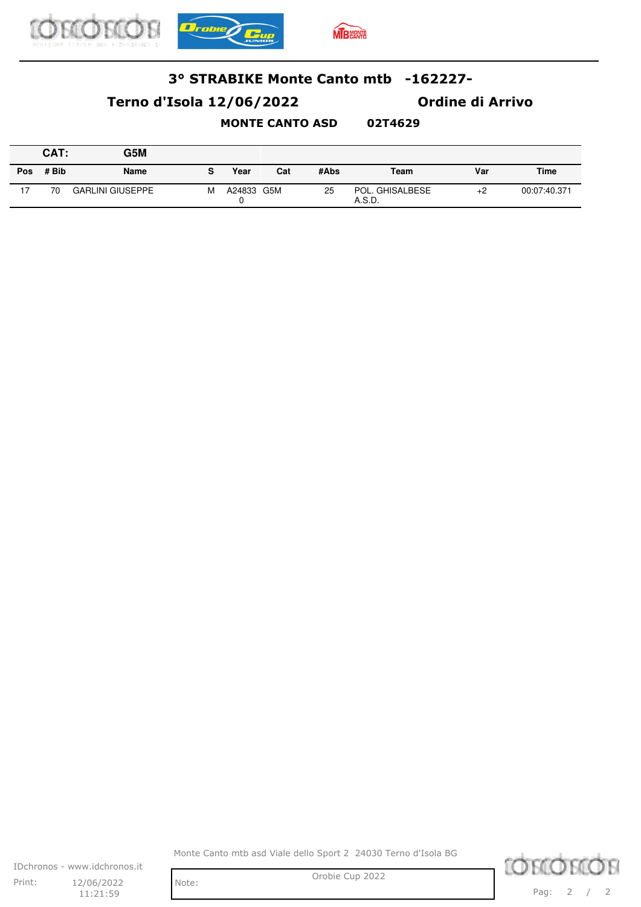

## **Terno d'Isola 12/06/2022 Ordine di Arrivo**

### **MONTE CANTO ASD 02T4629**

|            | CAT:  | G5M                     |   |        |     |      |                           |      |              |
|------------|-------|-------------------------|---|--------|-----|------|---------------------------|------|--------------|
| <b>Pos</b> | # Bib | <b>Name</b>             | s | Year   | Cat | #Abs | Team                      | Var  | Time         |
| 17         | 70    | <b>GARLINI GIUSEPPE</b> | М | A24833 | G5M | 25   | POL. GHISALBESE<br>A.S.D. | $+2$ | 00:07:40.371 |

Monte Canto mtb asd Viale dello Sport 2 24030 Terno d'Isola BG

IDchronos - www.idchronos.it Print: 12/06/2022 Note: Orobie Cup 2022 12/06/2022  $11:21:59$ 

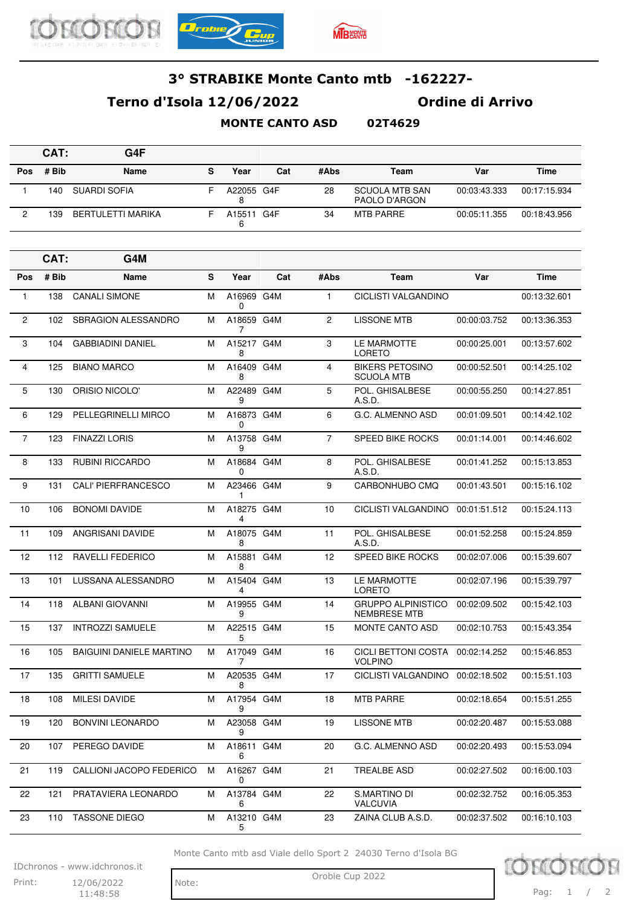





## **Terno d'Isola 12/06/2022 Ordine di Arrivo**

#### **MONTE CANTO ASD 02T4629**

|     | CAT:  | G4F               |   |                    |     |      |                                 |              |              |
|-----|-------|-------------------|---|--------------------|-----|------|---------------------------------|--------------|--------------|
| Pos | # Bib | <b>Name</b>       | s | Year               | Cat | #Abs | Team                            | Var          | <b>Time</b>  |
|     | 140   | SUARDI SOFIA      |   | A22055 G4F<br>8    |     | 28   | SCUOLA MTB SAN<br>PAOLO D'ARGON | 00:03:43.333 | 00:17:15.934 |
| ິ   | 139   | BERTULETTI MARIKA |   | A <sub>15511</sub> | G4F | 34   | <b>MTB PARRE</b>                | 00:05:11.355 | 00:18:43.956 |

|                | CAT:  | G4M                             |   |                 |     |                |                                                  |              |              |
|----------------|-------|---------------------------------|---|-----------------|-----|----------------|--------------------------------------------------|--------------|--------------|
| <b>Pos</b>     | # Bib | <b>Name</b>                     | S | Year            | Cat | #Abs           | Team                                             | Var          | <b>Time</b>  |
| $\mathbf{1}$   | 138   | <b>CANALI SIMONE</b>            | м | A16969 G4M<br>0 |     | $\mathbf{1}$   | CICLISTI VALGANDINO                              |              | 00:13:32.601 |
| $\overline{2}$ | 102   | <b>SBRAGION ALESSANDRO</b>      | м | A18659 G4M<br>7 |     | 2              | <b>LISSONE MTB</b>                               | 00:00:03.752 | 00:13:36.353 |
| 3              | 104   | <b>GABBIADINI DANIEL</b>        | м | A15217 G4M<br>8 |     | 3              | LE MARMOTTE<br>LORETO                            | 00:00:25.001 | 00:13:57.602 |
| $\overline{4}$ | 125   | <b>BIANO MARCO</b>              | м | A16409 G4M<br>8 |     | 4              | <b>BIKERS PETOSINO</b><br><b>SCUOLA MTB</b>      | 00:00:52.501 | 00:14:25.102 |
| 5              | 130   | ORISIO NICOLO'                  | м | A22489 G4M<br>9 |     | 5              | POL. GHISALBESE<br>A.S.D.                        | 00:00:55.250 | 00:14:27.851 |
| 6              | 129   | PELLEGRINELLI MIRCO             | м | A16873 G4M<br>0 |     | 6              | G.C. ALMENNO ASD                                 | 00:01:09.501 | 00:14:42.102 |
| $\overline{7}$ | 123   | <b>FINAZZI LORIS</b>            | м | A13758 G4M<br>9 |     | $\overline{7}$ | <b>SPEED BIKE ROCKS</b>                          | 00:01:14.001 | 00:14:46.602 |
| 8              | 133   | <b>RUBINI RICCARDO</b>          | м | A18684 G4M<br>0 |     | 8              | POL. GHISALBESE<br>A.S.D.                        | 00:01:41.252 | 00:15:13.853 |
| 9              | 131   | CALI' PIERFRANCESCO             | м | A23466 G4M<br>1 |     | 9              | CARBONHUBO CMO                                   | 00:01:43.501 | 00:15:16.102 |
| 10             | 106   | <b>BONOMI DAVIDE</b>            | м | A18275 G4M<br>4 |     | 10             | CICLISTI VALGANDINO                              | 00:01:51.512 | 00:15:24.113 |
| 11             | 109   | <b>ANGRISANI DAVIDE</b>         | м | A18075 G4M<br>8 |     | 11             | POL. GHISALBESE<br>A.S.D.                        | 00:01:52.258 | 00:15:24.859 |
| 12             | 112   | <b>RAVELLI FEDERICO</b>         | м | A15881 G4M<br>8 |     | 12             | <b>SPEED BIKE ROCKS</b>                          | 00:02:07.006 | 00:15:39.607 |
| 13             | 101   | LUSSANA ALESSANDRO              | м | A15404 G4M<br>4 |     | 13             | LE MARMOTTE<br><b>LORETO</b>                     | 00:02:07.196 | 00:15:39.797 |
| 14             | 118   | <b>ALBANI GIOVANNI</b>          | м | A19955 G4M<br>9 |     | 14             | <b>GRUPPO ALPINISTICO</b><br><b>NEMBRESE MTB</b> | 00:02:09.502 | 00:15:42.103 |
| 15             | 137   | <b>INTROZZI SAMUELE</b>         | м | A22515 G4M<br>5 |     | 15             | <b>MONTE CANTO ASD</b>                           | 00:02:10.753 | 00:15:43.354 |
| 16             | 105   | <b>BAIGUINI DANIELE MARTINO</b> | м | A17049 G4M<br>7 |     | 16             | CICLI BETTONI COSTA<br><b>VOLPINO</b>            | 00:02:14.252 | 00:15:46.853 |
| 17             | 135   | <b>GRITTI SAMUELE</b>           | м | A20535 G4M<br>8 |     | 17             | CICLISTI VALGANDINO                              | 00:02:18.502 | 00:15:51.103 |
| 18             | 108   | <b>MILESI DAVIDE</b>            | м | A17954 G4M<br>9 |     | 18             | <b>MTB PARRE</b>                                 | 00:02:18.654 | 00:15:51.255 |
| 19             | 120   | <b>BONVINI LEONARDO</b>         | м | A23058 G4M<br>9 |     | 19             | <b>LISSONE MTB</b>                               | 00:02:20.487 | 00:15:53.088 |
| 20             | 107   | PEREGO DAVIDE                   | м | A18611 G4M<br>6 |     | 20             | G.C. ALMENNO ASD                                 | 00:02:20.493 | 00:15:53.094 |
| 21             | 119   | CALLIONI JACOPO FEDERICO        | м | A16267 G4M<br>0 |     | 21             | <b>TREALBE ASD</b>                               | 00:02:27.502 | 00:16:00.103 |
| 22             | 121   | PRATAVIERA LEONARDO             | м | A13784 G4M<br>6 |     | 22             | S.MARTINO DI<br>VALCUVIA                         | 00:02:32.752 | 00:16:05.353 |
| 23             | 110   | TASSONE DIEGO                   | м | A13210 G4M<br>5 |     | 23             | ZAINA CLUB A.S.D.                                | 00:02:37.502 | 00:16:10.103 |

Monte Canto mtb asd Viale dello Sport 2 24030 Terno d'Isola BG

IDchronos - www.idchronos.it Print: 12/06/2022 Note: Orobie Cup 2022 12/06/2022

11:48:58

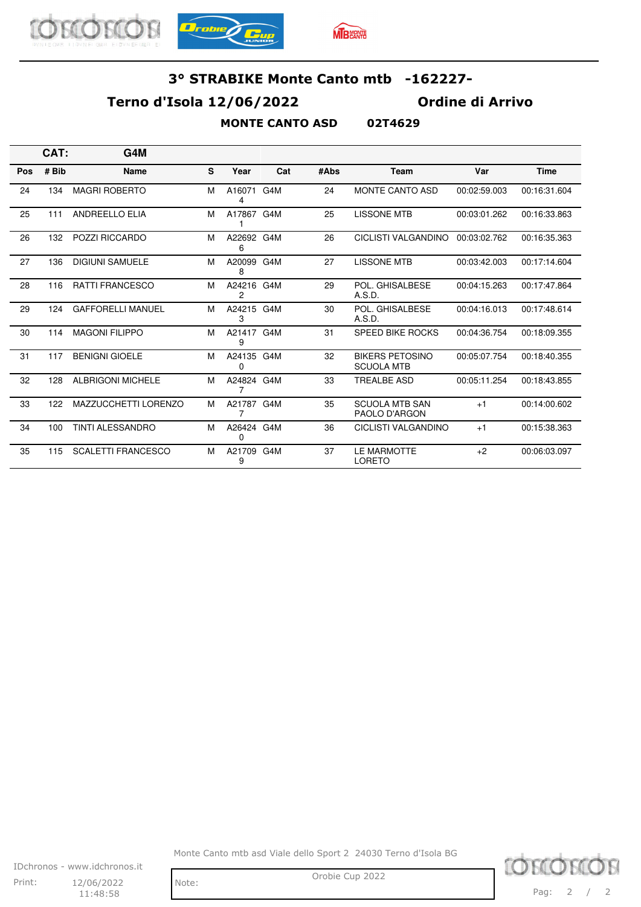





### **Terno d'Isola 12/06/2022 Ordine di Arrivo**

#### **MONTE CANTO ASD 02T4629**

|     | CAT:  | G4M                         |   |                 |     |      |                                             |              |              |
|-----|-------|-----------------------------|---|-----------------|-----|------|---------------------------------------------|--------------|--------------|
| Pos | # Bib | <b>Name</b>                 | S | Year            | Cat | #Abs | Team                                        | Var          | <b>Time</b>  |
| 24  | 134   | <b>MAGRI ROBERTO</b>        | M | A16071<br>4     | G4M | 24   | <b>MONTE CANTO ASD</b>                      | 00:02:59.003 | 00:16:31.604 |
| 25  | 111   | <b>ANDREELLO ELIA</b>       | M | A17867 G4M      |     | 25   | <b>LISSONE MTB</b>                          | 00:03:01.262 | 00:16:33.863 |
| 26  | 132   | <b>POZZI RICCARDO</b>       | M | A22692 G4M<br>6 |     | 26   | CICLISTI VALGANDINO                         | 00:03:02.762 | 00:16:35.363 |
| 27  | 136   | <b>DIGIUNI SAMUELE</b>      | M | A20099<br>8     | G4M | 27   | LISSONE MTB                                 | 00:03:42.003 | 00:17:14.604 |
| 28  | 116   | <b>RATTI FRANCESCO</b>      | M | A24216 G4M<br>2 |     | 29   | POL. GHISALBESE<br>A.S.D.                   | 00:04:15.263 | 00:17:47.864 |
| 29  | 124   | <b>GAFFORELLI MANUEL</b>    | M | A24215 G4M<br>3 |     | 30   | POL. GHISALBESE<br>A.S.D.                   | 00:04:16.013 | 00:17:48.614 |
| 30  | 114   | <b>MAGONI FILIPPO</b>       | M | A21417 G4M<br>9 |     | 31   | <b>SPEED BIKE ROCKS</b>                     | 00:04:36.754 | 00:18:09.355 |
| 31  | 117   | <b>BENIGNI GIOELE</b>       | M | A24135 G4M<br>0 |     | 32   | <b>BIKERS PETOSINO</b><br><b>SCUOLA MTB</b> | 00:05:07.754 | 00:18:40.355 |
| 32  | 128   | <b>ALBRIGONI MICHELE</b>    | M | A24824 G4M<br>7 |     | 33   | <b>TREALBE ASD</b>                          | 00:05:11.254 | 00:18:43.855 |
| 33  | 122   | <b>MAZZUCCHETTI LORENZO</b> | M | A21787 G4M<br>7 |     | 35   | <b>SCUOLA MTB SAN</b><br>PAOLO D'ARGON      | $+1$         | 00:14:00.602 |
| 34  | 100   | <b>TINTI ALESSANDRO</b>     | M | A26424 G4M<br>0 |     | 36   | <b>CICLISTI VALGANDINO</b>                  | $+1$         | 00:15:38.363 |
| 35  | 115   | <b>SCALETTI FRANCESCO</b>   | M | A21709 G4M<br>9 |     | 37   | <b>LE MARMOTTE</b><br><b>LORETO</b>         | $+2$         | 00:06:03.097 |

Monte Canto mtb asd Viale dello Sport 2 24030 Terno d'Isola BG



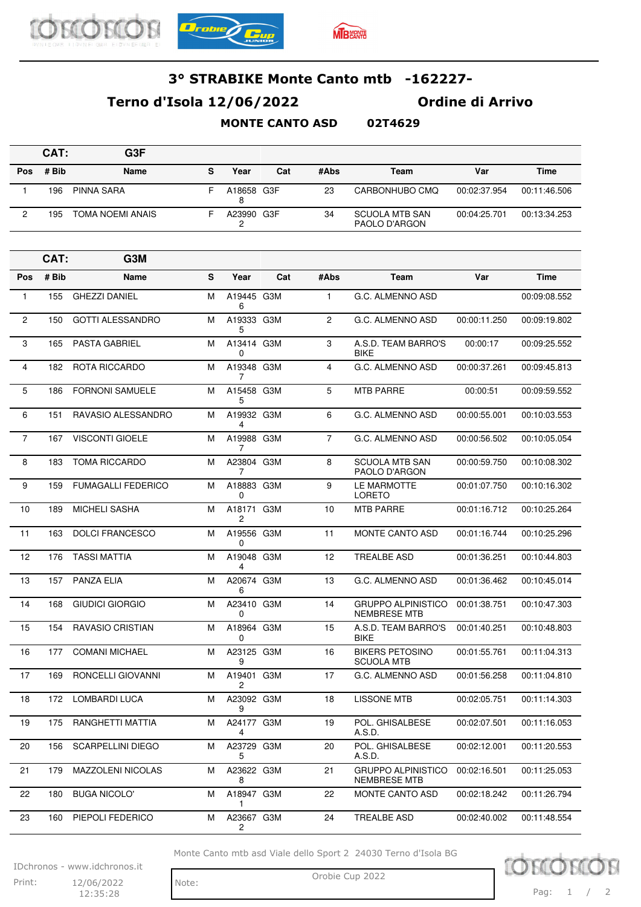



## **Terno d'Isola 12/06/2022 Ordine di Arrivo**

#### **MONTE CANTO ASD 02T4629**

|     | CAT:  | G <sub>3</sub> F |   |            |     |      |                                 |              |              |
|-----|-------|------------------|---|------------|-----|------|---------------------------------|--------------|--------------|
| Pos | # Bib | Name             | s | Year       | Cat | #Abs | Team                            | Var          | <b>Time</b>  |
|     | 196   | PINNA SARA       | ⊢ | A18658 G3F |     | 23   | CARBONHUBO CMO                  | 00:02:37.954 | 00:11:46.506 |
|     | 195   | TOMA NOEMI ANAIS |   | A23990 G3F |     | 34   | SCUOLA MTB SAN<br>PAOLO D'ARGON | 00:04:25.701 | 00:13:34.253 |

|                | CAT:  | G3M                       |           |                              |     |                |                                                  |              |              |
|----------------|-------|---------------------------|-----------|------------------------------|-----|----------------|--------------------------------------------------|--------------|--------------|
| Pos            | # Bib | Name                      | ${\bf s}$ | Year                         | Cat | #Abs           | Team                                             | Var          | <b>Time</b>  |
| $\mathbf{1}$   | 155   | <b>GHEZZI DANIEL</b>      | М         | A19445 G3M<br>6              |     | $\mathbf{1}$   | G.C. ALMENNO ASD                                 |              | 00:09:08.552 |
| $\overline{2}$ | 150   | <b>GOTTI ALESSANDRO</b>   | м         | A19333 G3M<br>5              |     | 2              | G.C. ALMENNO ASD                                 | 00:00:11.250 | 00:09:19.802 |
| 3              | 165   | <b>PASTA GABRIEL</b>      | м         | A13414 G3M<br>0              |     | 3              | A.S.D. TEAM BARRO'S<br><b>BIKE</b>               | 00:00:17     | 00:09:25.552 |
| 4              | 182   | ROTA RICCARDO             | м         | A19348 G3M<br>7              |     | 4              | G.C. ALMENNO ASD                                 | 00:00:37.261 | 00:09:45.813 |
| 5              | 186   | <b>FORNONI SAMUELE</b>    | м         | A15458 G3M<br>5              |     | 5              | <b>MTB PARRE</b>                                 | 00:00:51     | 00:09:59.552 |
| 6              | 151   | RAVASIO ALESSANDRO        | м         | A19932 G3M<br>4              |     | 6              | G.C. ALMENNO ASD                                 | 00:00:55.001 | 00:10:03.553 |
| $\overline{7}$ | 167   | <b>VISCONTI GIOELE</b>    | м         | A19988 G3M<br>$\overline{7}$ |     | $\overline{7}$ | G.C. ALMENNO ASD                                 | 00:00:56.502 | 00:10:05.054 |
| 8              | 183   | <b>TOMA RICCARDO</b>      | м         | A23804 G3M<br>7              |     | 8              | <b>SCUOLA MTB SAN</b><br>PAOLO D'ARGON           | 00:00:59.750 | 00:10:08.302 |
| 9              | 159   | <b>FUMAGALLI FEDERICO</b> | м         | A18883 G3M<br>0              |     | 9              | LE MARMOTTE<br><b>LORETO</b>                     | 00:01:07.750 | 00:10:16.302 |
| 10             | 189   | MICHELI SASHA             | м         | A18171 G3M<br>2              |     | 10             | <b>MTB PARRE</b>                                 | 00:01:16.712 | 00:10:25.264 |
| 11             | 163   | <b>DOLCI FRANCESCO</b>    | м         | A19556 G3M<br>0              |     | 11             | <b>MONTE CANTO ASD</b>                           | 00:01:16.744 | 00:10:25.296 |
| 12             | 176   | <b>TASSI MATTIA</b>       | м         | A19048 G3M<br>4              |     | 12             | <b>TREALBE ASD</b>                               | 00:01:36.251 | 00:10:44.803 |
| 13             | 157   | <b>PANZA ELIA</b>         | м         | A20674 G3M<br>6              |     | 13             | G.C. ALMENNO ASD                                 | 00:01:36.462 | 00:10:45.014 |
| 14             | 168   | GIUDICI GIORGIO           | м         | A23410 G3M<br>0              |     | 14             | <b>GRUPPO ALPINISTICO</b><br><b>NEMBRESE MTB</b> | 00:01:38.751 | 00:10:47.303 |
| 15             | 154   | <b>RAVASIO CRISTIAN</b>   | м         | A18964 G3M<br>0              |     | 15             | A.S.D. TEAM BARRO'S<br><b>BIKE</b>               | 00:01:40.251 | 00:10:48.803 |
| 16             | 177   | <b>COMANI MICHAEL</b>     | м         | A23125 G3M<br>9              |     | 16             | <b>BIKERS PETOSINO</b><br><b>SCUOLA MTB</b>      | 00:01:55.761 | 00:11:04.313 |
| 17             | 169   | RONCELLI GIOVANNI         | м         | A19401 G3M<br>2              |     | 17             | G.C. ALMENNO ASD                                 | 00:01:56.258 | 00:11:04.810 |
| 18             | 172   | <b>LOMBARDI LUCA</b>      | м         | A23092 G3M<br>9              |     | 18             | <b>LISSONE MTB</b>                               | 00:02:05.751 | 00:11:14.303 |
| 19             | 175   | RANGHETTI MATTIA          | м         | A24177 G3M                   |     | 19             | POL. GHISALBESE<br>A.S.D.                        | 00:02:07.501 | 00:11:16.053 |
| 20             | 156   | <b>SCARPELLINI DIEGO</b>  | M         | A23729 G3M<br>5              |     | 20             | POL. GHISALBESE<br>A.S.D.                        | 00:02:12.001 | 00:11:20.553 |
| 21             | 179   | MAZZOLENI NICOLAS         | м         | A23622 G3M<br>8              |     | 21             | <b>GRUPPO ALPINISTICO</b><br><b>NEMBRESE MTB</b> | 00:02:16.501 | 00:11:25.053 |
| 22             | 180   | <b>BUGA NICOLO'</b>       | м         | A18947 G3M<br>$\mathbf{1}$   |     | 22             | MONTE CANTO ASD                                  | 00:02:18.242 | 00:11:26.794 |
| 23             | 160   | PIEPOLI FEDERICO          | м         | A23667 G3M<br>2              |     | 24             | <b>TREALBE ASD</b>                               | 00:02:40.002 | 00:11:48.554 |

Monte Canto mtb asd Viale dello Sport 2 24030 Terno d'Isola BG

IDchronos - www.idchronos.it Print: 12/06/2022 Note: Orobie Cup 2022 12/06/2022

12:35:28

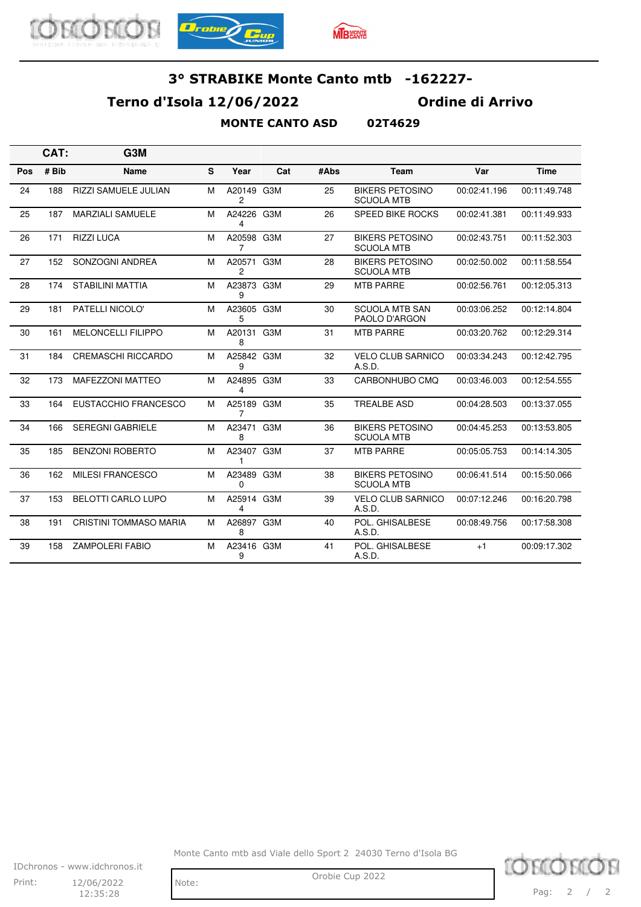





### **Terno d'Isola 12/06/2022 Ordine di Arrivo**

#### **MONTE CANTO ASD 02T4629**

|     | CAT:  | G <sub>3</sub> M            |              |                        |     |      |                                             |              |              |
|-----|-------|-----------------------------|--------------|------------------------|-----|------|---------------------------------------------|--------------|--------------|
| Pos | # Bib | <b>Name</b>                 | <sub>S</sub> | Year                   | Cat | #Abs | Team                                        | Var          | <b>Time</b>  |
| 24  | 188   | <b>RIZZI SAMUELE JULIAN</b> | M            | A20149 G3M<br>2        |     | 25   | <b>BIKERS PETOSINO</b><br><b>SCUOLA MTB</b> | 00:02:41.196 | 00:11:49.748 |
| 25  | 187   | <b>MARZIALI SAMUELE</b>     | M            | A24226 G3M<br>4        |     | 26   | SPEED BIKE ROCKS                            | 00:02:41.381 | 00:11:49.933 |
| 26  | 171   | <b>RIZZI LUCA</b>           | M            | A20598 G3M<br>7        |     | 27   | <b>BIKERS PETOSINO</b><br><b>SCUOLA MTB</b> | 00:02:43.751 | 00:11:52.303 |
| 27  | 152   | SONZOGNI ANDREA             | M            | A20571 G3M<br>2        |     | 28   | <b>BIKERS PETOSINO</b><br><b>SCUOLA MTB</b> | 00:02:50.002 | 00:11:58.554 |
| 28  | 174   | <b>STABILINI MATTIA</b>     | M            | A23873 G3M<br>9        |     | 29   | <b>MTB PARRE</b>                            | 00:02:56.761 | 00:12:05.313 |
| 29  | 181   | PATELLI NICOLO'             | M            | A23605 G3M<br>5        |     | 30   | <b>SCUOLA MTB SAN</b><br>PAOLO D'ARGON      | 00:03:06.252 | 00:12:14.804 |
| 30  | 161   | <b>MELONCELLI FILIPPO</b>   | M            | A20131<br>8            | G3M | 31   | <b>MTB PARRE</b>                            | 00:03:20.762 | 00:12:29.314 |
| 31  | 184   | <b>CREMASCHI RICCARDO</b>   | M            | A25842 G3M<br>9        |     | 32   | <b>VELO CLUB SARNICO</b><br>A.S.D.          | 00:03:34.243 | 00:12:42.795 |
| 32  | 173   | <b>MAFEZZONI MATTEO</b>     | м            | A24895 G3M<br>4        |     | 33   | CARBONHUBO CMO                              | 00:03:46.003 | 00:12:54.555 |
| 33  | 164   | EUSTACCHIO FRANCESCO        | M            | A25189<br>7            | G3M | 35   | <b>TREALBE ASD</b>                          | 00:04:28.503 | 00:13:37.055 |
| 34  | 166   | <b>SEREGNI GABRIELE</b>     | M            | A23471<br>8            | G3M | 36   | <b>BIKERS PETOSINO</b><br><b>SCUOLA MTB</b> | 00:04:45.253 | 00:13:53.805 |
| 35  | 185   | <b>BENZONI ROBERTO</b>      | M            | A23407 G3M<br>1        |     | 37   | <b>MTB PARRE</b>                            | 00:05:05.753 | 00:14:14.305 |
| 36  | 162   | <b>MILESI FRANCESCO</b>     | M            | A23489 G3M<br>$\Omega$ |     | 38   | <b>BIKERS PETOSINO</b><br><b>SCUOLA MTB</b> | 00:06:41.514 | 00:15:50.066 |
| 37  | 153   | <b>BELOTTI CARLO LUPO</b>   | M            | A25914 G3M<br>4        |     | 39   | <b>VELO CLUB SARNICO</b><br>A.S.D.          | 00:07:12.246 | 00:16:20.798 |
| 38  | 191   | CRISTINI TOMMASO MARIA      | м            | A26897 G3M<br>8        |     | 40   | POL. GHISALBESE<br>A.S.D.                   | 00:08:49.756 | 00:17:58.308 |
| 39  | 158   | <b>ZAMPOLERI FABIO</b>      | M            | A23416 G3M<br>9        |     | 41   | POL. GHISALBESE<br>A.S.D.                   | $+1$         | 00:09:17.302 |

Monte Canto mtb asd Viale dello Sport 2 24030 Terno d'Isola BG



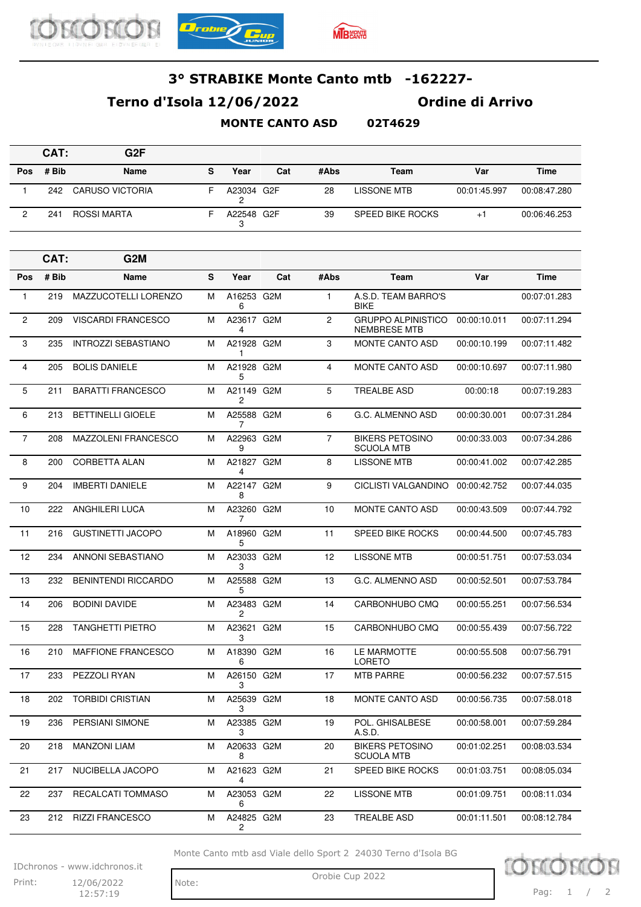





## **Terno d'Isola 12/06/2022 Ordine di Arrivo**

#### **MONTE CANTO ASD 02T4629**

|     | CAT:  | G <sub>2</sub> F |   |            |     |      |                         |              |              |
|-----|-------|------------------|---|------------|-----|------|-------------------------|--------------|--------------|
| Pos | # Bib | Name             | s | Year       | Cat | #Abs | Team                    | Var          | Time         |
|     | 242   | CARUSO VICTORIA  | - | A23034 G2F |     | 28   | LISSONE MTB             | 00:01:45.997 | 00:08:47.280 |
|     | 241   | ROSSI MARTA      |   | A22548 G2F |     | 39   | <b>SPEED BIKE ROCKS</b> | $+$          | 00:06:46.253 |

|                | CAT:  | G2M                        |   |                            |     |                |                                                  |              |              |
|----------------|-------|----------------------------|---|----------------------------|-----|----------------|--------------------------------------------------|--------------|--------------|
| Pos            | # Bib | <b>Name</b>                | S | Year                       | Cat | #Abs           | Team                                             | Var          | <b>Time</b>  |
| $\mathbf{1}$   | 219   | MAZZUCOTELLI LORENZO       | м | A16253 G2M<br>6            |     | $\mathbf{1}$   | A.S.D. TEAM BARRO'S<br><b>BIKE</b>               |              | 00:07:01.283 |
| 2              | 209   | <b>VISCARDI FRANCESCO</b>  | м | A23617 G2M<br>4            |     | 2              | <b>GRUPPO ALPINISTICO</b><br><b>NEMBRESE MTB</b> | 00:00:10.011 | 00:07:11.294 |
| 3              | 235   | <b>INTROZZI SEBASTIANO</b> | M | A21928 G2M<br>1            |     | 3              | <b>MONTE CANTO ASD</b>                           | 00:00:10.199 | 00:07:11.482 |
| 4              | 205   | <b>BOLIS DANIELE</b>       | м | A21928 G2M<br>5            |     | 4              | MONTE CANTO ASD                                  | 00:00:10.697 | 00:07:11.980 |
| 5              | 211   | <b>BARATTI FRANCESCO</b>   | м | A21149 G2M<br>2            |     | 5              | <b>TREALBE ASD</b>                               | 00:00:18     | 00:07:19.283 |
| 6              | 213   | <b>BETTINELLI GIOELE</b>   | M | A25588 G2M<br>7            |     | 6              | G.C. ALMENNO ASD                                 | 00:00:30.001 | 00:07:31.284 |
| $\overline{7}$ | 208   | <b>MAZZOLENI FRANCESCO</b> | м | A22963 G2M<br>9            |     | $\overline{7}$ | <b>BIKERS PETOSINO</b><br><b>SCUOLA MTB</b>      | 00:00:33.003 | 00:07:34.286 |
| 8              | 200   | <b>CORBETTA ALAN</b>       | м | A21827 G2M<br>4            |     | 8              | <b>LISSONE MTB</b>                               | 00:00:41.002 | 00:07:42.285 |
| 9              | 204   | <b>IMBERTI DANIELE</b>     | M | A22147 G2M<br>8            |     | 9              | <b>CICLISTI VALGANDINO</b>                       | 00:00:42.752 | 00:07:44.035 |
| 10             | 222   | ANGHILERI LUCA             | м | A23260 G2M<br>7            |     | 10             | <b>MONTE CANTO ASD</b>                           | 00:00:43.509 | 00:07:44.792 |
| 11             | 216   | <b>GUSTINETTI JACOPO</b>   | м | A18960 G2M<br>5            |     | 11             | SPEED BIKE ROCKS                                 | 00:00:44.500 | 00:07:45.783 |
| 12             | 234   | <b>ANNONI SEBASTIANO</b>   | M | A23033 G2M<br>3            |     | 12             | <b>LISSONE MTB</b>                               | 00:00:51.751 | 00:07:53.034 |
| 13             | 232   | <b>BENINTENDI RICCARDO</b> | м | A25588 G2M<br>5            |     | 13             | G.C. ALMENNO ASD                                 | 00:00:52.501 | 00:07:53.784 |
| 14             | 206   | <b>BODINI DAVIDE</b>       | м | A23483 G2M<br>2            |     | 14             | CARBONHUBO CMQ                                   | 00:00:55.251 | 00:07:56.534 |
| 15             | 228   | <b>TANGHETTI PIETRO</b>    | M | A23621<br>3                | G2M | 15             | CARBONHUBO CMQ                                   | 00:00:55.439 | 00:07:56.722 |
| 16             | 210   | <b>MAFFIONE FRANCESCO</b>  | м | A18390 G2M<br>6            |     | 16             | LE MARMOTTE<br>LORETO                            | 00:00:55.508 | 00:07:56.791 |
| 17             | 233   | PEZZOLI RYAN               | м | A26150 G2M<br>3            |     | 17             | <b>MTB PARRE</b>                                 | 00:00:56.232 | 00:07:57.515 |
| 18             | 202   | <b>TORBIDI CRISTIAN</b>    | M | A25639 G2M<br>3            |     | 18             | MONTE CANTO ASD                                  | 00:00:56.735 | 00:07:58.018 |
| 19             | 236   | PERSIANI SIMONE            | м | A23385 G2M<br>3            |     | 19             | POL. GHISALBESE<br>A.S.D.                        | 00:00:58.001 | 00:07:59.284 |
| 20             | 218   | <b>MANZONI LIAM</b>        | м | A20633 G2M<br>8            |     | 20             | <b>BIKERS PETOSINO</b><br><b>SCUOLA MTB</b>      | 00:01:02.251 | 00:08:03.534 |
| 21             | 217   | NUCIBELLA JACOPO           | M | A21623 G2M<br>4            |     | 21             | SPEED BIKE ROCKS                                 | 00:01:03.751 | 00:08:05.034 |
| 22             | 237   | RECALCATI TOMMASO          | М | A23053 G2M<br>6            |     | 22             | <b>LISSONE MTB</b>                               | 00:01:09.751 | 00:08:11.034 |
| 23             | 212   | <b>RIZZI FRANCESCO</b>     | М | A24825 G2M<br>$\mathbf{2}$ |     | 23             | TREALBE ASD                                      | 00:01:11.501 | 00:08:12.784 |

Monte Canto mtb asd Viale dello Sport 2 24030 Terno d'Isola BG

IDchronos - www.idchronos.it Print: 12/06/2022 Note: Orobie Cup 2022

12/06/2022  $12:57:19$ 

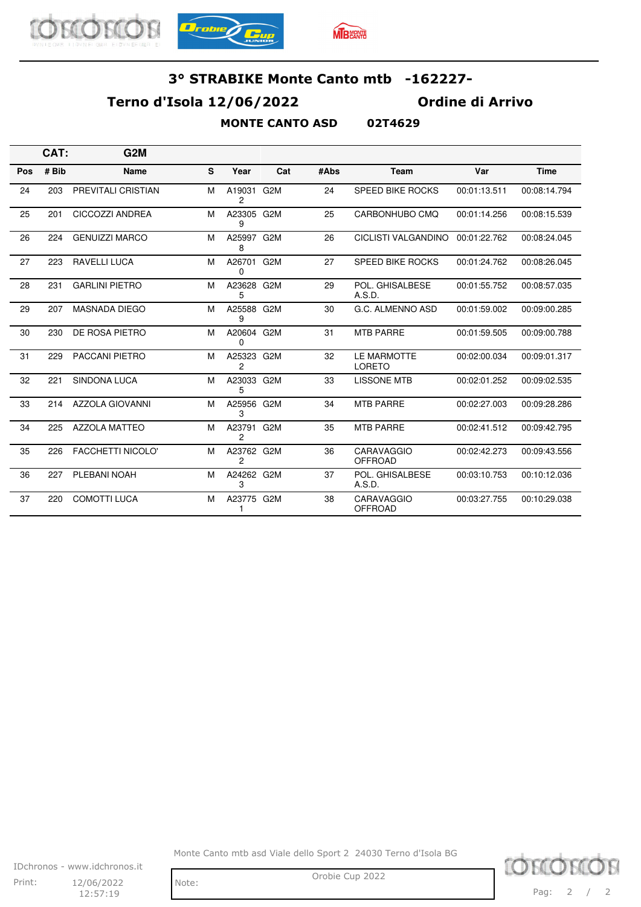





### **Terno d'Isola 12/06/2022 Ordine di Arrivo**

#### **MONTE CANTO ASD 02T4629**

|     | CAT:  | G <sub>2</sub> M         |   |                          |                  |      |                                     |              |              |
|-----|-------|--------------------------|---|--------------------------|------------------|------|-------------------------------------|--------------|--------------|
| Pos | # Bib | <b>Name</b>              | S | Year                     | Cat              | #Abs | <b>Team</b>                         | Var          | <b>Time</b>  |
| 24  | 203   | PREVITALI CRISTIAN       | M | A19031<br>$\overline{c}$ | G <sub>2</sub> M | 24   | <b>SPEED BIKE ROCKS</b>             | 00:01:13.511 | 00:08:14.794 |
| 25  | 201   | CICCOZZI ANDREA          | М | A23305 G2M<br>9          |                  | 25   | CARBONHUBO CMQ                      | 00:01:14.256 | 00:08:15.539 |
| 26  | 224   | <b>GENUIZZI MARCO</b>    | M | A25997 G2M<br>8          |                  | 26   | CICLISTI VALGANDINO                 | 00:01:22.762 | 00:08:24.045 |
| 27  | 223   | <b>RAVELLI LUCA</b>      | M | A26701 G2M<br>0          |                  | 27   | <b>SPEED BIKE ROCKS</b>             | 00:01:24.762 | 00:08:26.045 |
| 28  | 231   | <b>GARLINI PIETRO</b>    | M | A23628<br>5              | G2M              | 29   | POL. GHISALBESE<br>A.S.D.           | 00:01:55.752 | 00:08:57.035 |
| 29  | 207   | <b>MASNADA DIEGO</b>     | M | A25588 G2M<br>9          |                  | 30   | G.C. ALMENNO ASD                    | 00:01:59.002 | 00:09:00.285 |
| 30  | 230   | DE ROSA PIETRO           | M | A20604 G2M<br>0          |                  | 31   | <b>MTB PARRE</b>                    | 00:01:59.505 | 00:09:00.788 |
| 31  | 229   | <b>PACCANI PIETRO</b>    | M | A25323 G2M<br>2          |                  | 32   | <b>LE MARMOTTE</b><br><b>LORETO</b> | 00:02:00.034 | 00:09:01.317 |
| 32  | 221   | <b>SINDONA LUCA</b>      | M | A23033 G2M<br>5          |                  | 33   | <b>LISSONE MTB</b>                  | 00:02:01.252 | 00:09:02.535 |
| 33  | 214   | <b>AZZOLA GIOVANNI</b>   | M | A25956<br>3              | G <sub>2</sub> M | 34   | <b>MTB PARRE</b>                    | 00:02:27.003 | 00:09:28.286 |
| 34  | 225   | <b>AZZOLA MATTEO</b>     | M | A23791<br>2              | G <sub>2</sub> M | 35   | <b>MTB PARRE</b>                    | 00:02:41.512 | 00:09:42.795 |
| 35  | 226   | <b>FACCHETTI NICOLO'</b> | M | A23762 G2M<br>2          |                  | 36   | CARAVAGGIO<br><b>OFFROAD</b>        | 00:02:42.273 | 00:09:43.556 |
| 36  | 227   | PLEBANI NOAH             | M | A24262 G2M<br>3          |                  | 37   | POL. GHISALBESE<br>A.S.D.           | 00:03:10.753 | 00:10:12.036 |
| 37  | 220   | <b>COMOTTI LUCA</b>      | M | A23775 G2M               |                  | 38   | <b>CARAVAGGIO</b><br><b>OFFROAD</b> | 00:03:27.755 | 00:10:29.038 |

Monte Canto mtb asd Viale dello Sport 2 24030 Terno d'Isola BG



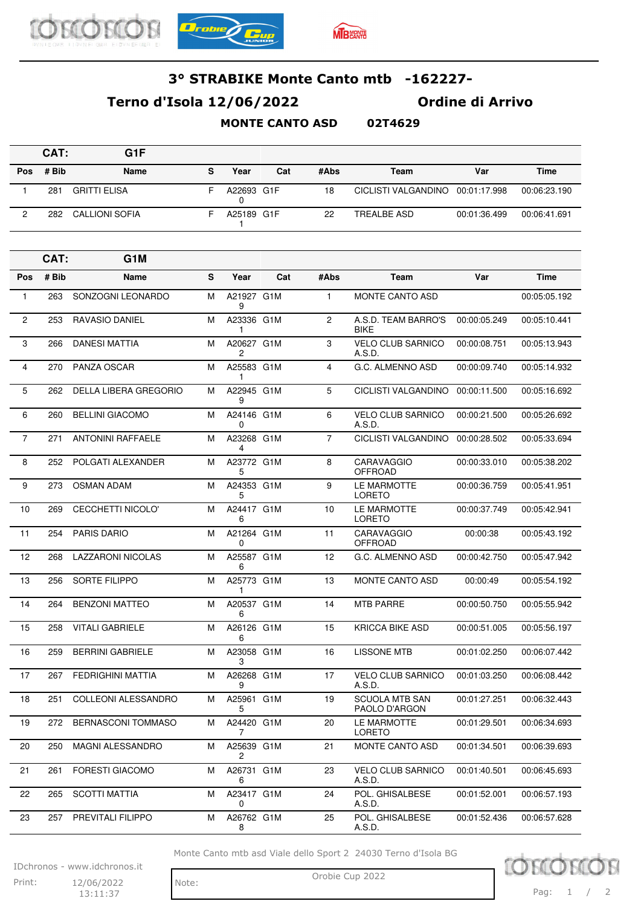





## **Terno d'Isola 12/06/2022 Ordine di Arrivo**

**MONTE CANTO ASD 02T4629**

|            | CAT:  | G1F                 |   |            |     |      |                                  |              |              |
|------------|-------|---------------------|---|------------|-----|------|----------------------------------|--------------|--------------|
| <b>Pos</b> | # Bib | Name                | s | Year       | Cat | #Abs | Team                             | Var          | Time         |
|            | 281   | <b>GRITTI ELISA</b> | ⊢ | A22693 G1F |     | 18   | CICLISTI VALGANDINO 00:01:17.998 |              | 00:06:23.190 |
|            | 282   | CALLIONI SOFIA      |   | A25189 G1F |     | 22   | <b>TREALBE ASD</b>               | 00:01:36.499 | 00:06:41.691 |

|                | CAT:  | G1M                        |           |                 |     |                |                                        |              |              |
|----------------|-------|----------------------------|-----------|-----------------|-----|----------------|----------------------------------------|--------------|--------------|
| <b>Pos</b>     | # Bib | Name                       | ${\bf s}$ | Year            | Cat | #Abs           | Team                                   | Var          | <b>Time</b>  |
| $\mathbf{1}$   | 263   | SONZOGNI LEONARDO          | M         | A21927 G1M<br>9 |     | $\mathbf{1}$   | MONTE CANTO ASD                        |              | 00:05:05.192 |
| $\overline{2}$ | 253   | <b>RAVASIO DANIEL</b>      | М         | A23336 G1M<br>1 |     | $\overline{2}$ | A.S.D. TEAM BARRO'S<br><b>BIKE</b>     | 00:00:05.249 | 00:05:10.441 |
| 3              | 266   | <b>DANESI MATTIA</b>       | М         | A20627 G1M<br>2 |     | 3              | <b>VELO CLUB SARNICO</b><br>A.S.D.     | 00:00:08.751 | 00:05:13.943 |
| $\overline{4}$ | 270   | PANZA OSCAR                | M         | A25583 G1M<br>1 |     | $\overline{4}$ | G.C. ALMENNO ASD                       | 00:00:09.740 | 00:05:14.932 |
| 5              | 262   | DELLA LIBERA GREGORIO      | м         | A22945 G1M<br>9 |     | 5              | CICLISTI VALGANDINO                    | 00:00:11.500 | 00:05:16.692 |
| 6              | 260   | <b>BELLINI GIACOMO</b>     | М         | A24146 G1M<br>0 |     | 6              | <b>VELO CLUB SARNICO</b><br>A.S.D.     | 00:00:21.500 | 00:05:26.692 |
| $\overline{7}$ | 271   | <b>ANTONINI RAFFAELE</b>   | M         | A23268 G1M<br>4 |     | $\overline{7}$ | CICLISTI VALGANDINO                    | 00:00:28.502 | 00:05:33.694 |
| 8              | 252   | POLGATI ALEXANDER          | М         | A23772 G1M<br>5 |     | 8              | CARAVAGGIO<br><b>OFFROAD</b>           | 00:00:33.010 | 00:05:38.202 |
| 9              | 273   | <b>OSMAN ADAM</b>          | М         | A24353 G1M<br>5 |     | 9              | LE MARMOTTE<br><b>LORETO</b>           | 00:00:36.759 | 00:05:41.951 |
| 10             | 269   | <b>CECCHETTI NICOLO'</b>   | M         | A24417 G1M<br>6 |     | 10             | LE MARMOTTE<br><b>LORETO</b>           | 00:00:37.749 | 00:05:42.941 |
| 11             | 254   | <b>PARIS DARIO</b>         | М         | A21264 G1M<br>0 |     | 11             | CARAVAGGIO<br><b>OFFROAD</b>           | 00:00:38     | 00:05:43.192 |
| 12             | 268   | <b>LAZZARONI NICOLAS</b>   | М         | A25587 G1M<br>6 |     | 12             | G.C. ALMENNO ASD                       | 00:00:42.750 | 00:05:47.942 |
| 13             | 256   | <b>SORTE FILIPPO</b>       | M         | A25773 G1M<br>1 |     | 13             | <b>MONTE CANTO ASD</b>                 | 00:00:49     | 00:05:54.192 |
| 14             | 264   | <b>BENZONI MATTEO</b>      | М         | A20537 G1M<br>6 |     | 14             | <b>MTB PARRE</b>                       | 00:00:50.750 | 00:05:55.942 |
| 15             | 258   | <b>VITALI GABRIELE</b>     | М         | A26126 G1M<br>6 |     | 15             | <b>KRICCA BIKE ASD</b>                 | 00:00:51.005 | 00:05:56.197 |
| 16             | 259   | <b>BERRINI GABRIELE</b>    | M         | A23058 G1M<br>3 |     | 16             | <b>LISSONE MTB</b>                     | 00:01:02.250 | 00:06:07.442 |
| 17             | 267   | <b>FEDRIGHINI MATTIA</b>   | М         | A26268 G1M<br>9 |     | 17             | <b>VELO CLUB SARNICO</b><br>A.S.D.     | 00:01:03.250 | 00:06:08.442 |
| 18             | 251   | <b>COLLEONI ALESSANDRO</b> | М         | A25961 G1M<br>5 |     | 19             | <b>SCUOLA MTB SAN</b><br>PAOLO D'ARGON | 00:01:27.251 | 00:06:32.443 |
| 19             | 272   | <b>BERNASCONI TOMMASO</b>  | M         | A24420 G1M<br>7 |     | 20             | LE MARMOTTE<br>LORETO                  | 00:01:29.501 | 00:06:34.693 |
| 20             | 250   | MAGNI ALESSANDRO           | м         | A25639 G1M<br>2 |     | 21             | MONTE CANTO ASD                        | 00:01:34.501 | 00:06:39.693 |
| 21             | 261   | FORESTI GIACOMO            | М         | A26731 G1M<br>6 |     | 23             | <b>VELO CLUB SARNICO</b><br>A.S.D.     | 00:01:40.501 | 00:06:45.693 |
| 22             | 265   | <b>SCOTTI MATTIA</b>       | М         | A23417 G1M<br>0 |     | 24             | POL. GHISALBESE<br>A.S.D.              | 00:01:52.001 | 00:06:57.193 |
| 23             | 257   | PREVITALI FILIPPO          | М         | A26762 G1M<br>8 |     | 25             | POL. GHISALBESE<br>A.S.D.              | 00:01:52.436 | 00:06:57.628 |

Monte Canto mtb asd Viale dello Sport 2 24030 Terno d'Isola BG

IDchronos - www.idchronos.it Print: 12/06/2022 Note: Orobie Cup 2022 12/06/2022

 $13:11:37$